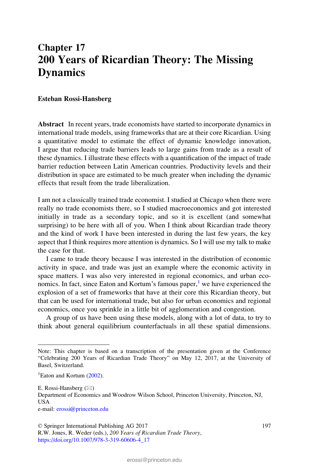# Chapter 17 200 Years of Ricardian Theory: The Missing Dynamics

#### Esteban Rossi-Hansberg

Abstract In recent years, trade economists have started to incorporate dynamics in international trade models, using frameworks that are at their core Ricardian. Using a quantitative model to estimate the effect of dynamic knowledge innovation, I argue that reducing trade barriers leads to large gains from trade as a result of these dynamics. I illustrate these effects with a quantification of the impact of trade barrier reduction between Latin American countries. Productivity levels and their distribution in space are estimated to be much greater when including the dynamic effects that result from the trade liberalization.

I am not a classically trained trade economist. I studied at Chicago when there were really no trade economists there, so I studied macroeconomics and got interested initially in trade as a secondary topic, and so it is excellent (and somewhat surprising) to be here with all of you. When I think about Ricardian trade theory and the kind of work I have been interested in during the last few years, the key aspect that I think requires more attention is dynamics. So I will use my talk to make the case for that.

I came to trade theory because I was interested in the distribution of economic activity in space, and trade was just an example where the economic activity in space matters. I was also very interested in regional economics, and urban economics. In fact, since Eaton and Kortum's famous paper, $<sup>1</sup>$  we have experienced the</sup> explosion of a set of frameworks that have at their core this Ricardian theory, but that can be used for international trade, but also for urban economics and regional economics, once you sprinkle in a little bit of agglomeration and congestion.

A group of us have been using these models, along with a lot of data, to try to think about general equilibrium counterfactuals in all these spatial dimensions.

Note: This chapter is based on a transcription of the presentation given at the Conference "Celebrating 200 Years of Ricardian Trade Theory" on May 12, 2017, at the University of Basel, Switzerland.

<sup>&</sup>lt;sup>1</sup> Eaton and Kortum (2002).

E. Rossi-Hansberg  $(\boxtimes)$ Department of Economics and Woodrow Wilson School, Princeton University, Princeton, NJ, USA e-mail: [erossi@princeton.edu](mailto:erossi@princeton.edu)

<sup>©</sup> Springer International Publishing AG 2017

R.W. Jones, R. Weder (eds.), 200 Years of Ricardian Trade Theory, https://doi.org/10.1007/978-3-319-60606-4\_17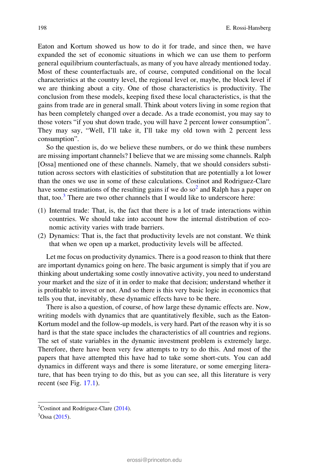Eaton and Kortum showed us how to do it for trade, and since then, we have expanded the set of economic situations in which we can use them to perform general equilibrium counterfactuals, as many of you have already mentioned today. Most of these counterfactuals are, of course, computed conditional on the local characteristics at the country level, the regional level or, maybe, the block level if we are thinking about a city. One of those characteristics is productivity. The conclusion from these models, keeping fixed these local characteristics, is that the gains from trade are in general small. Think about voters living in some region that has been completely changed over a decade. As a trade economist, you may say to those voters "if you shut down trade, you will have 2 percent lower consumption". They may say, "Well, I'll take it, I'll take my old town with 2 percent less consumption".

So the question is, do we believe these numbers, or do we think these numbers are missing important channels? I believe that we are missing some channels. Ralph [Ossa] mentioned one of these channels. Namely, that we should considers substitution across sectors with elasticities of substitution that are potentially a lot lower than the ones we use in some of these calculations. Costinot and Rodriguez-Clare have some estimations of the resulting gains if we do so<sup>2</sup> and Ralph has a paper on that, too.<sup>3</sup> There are two other channels that I would like to underscore here:

- (1) Internal trade: That, is, the fact that there is a lot of trade interactions within countries. We should take into account how the internal distribution of economic activity varies with trade barriers.
- (2) Dynamics: That is, the fact that productivity levels are not constant. We think that when we open up a market, productivity levels will be affected.

Let me focus on productivity dynamics. There is a good reason to think that there are important dynamics going on here. The basic argument is simply that if you are thinking about undertaking some costly innovative activity, you need to understand your market and the size of it in order to make that decision; understand whether it is profitable to invest or not. And so there is this very basic logic in economics that tells you that, inevitably, these dynamic effects have to be there.

There is also a question, of course, of how large these dynamic effects are. Now, writing models with dynamics that are quantitatively flexible, such as the Eaton-Kortum model and the follow-up models, is very hard. Part of the reason why it is so hard is that the state space includes the characteristics of all countries and regions. The set of state variables in the dynamic investment problem is extremely large. Therefore, there have been very few attempts to try to do this. And most of the papers that have attempted this have had to take some short-cuts. You can add dynamics in different ways and there is some literature, or some emerging literature, that has been trying to do this, but as you can see, all this literature is very recent (see Fig. 17.1).

<sup>&</sup>lt;sup>2</sup> Costinot and Rodriguez-Clare  $(2014)$ .

 $3$ Ossa (2015).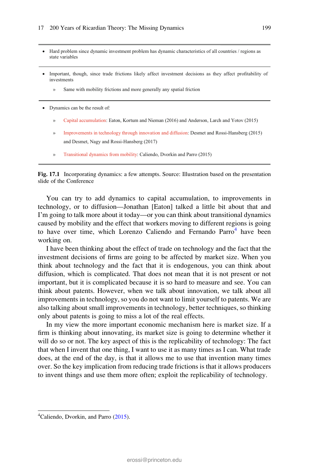- Hard problem since dynamic investment problem has dynamic characteristics of all countries / regions as state variables
- Important, though, since trade frictions likely affect investment decisions as they affect profitability of investments
	- Same with mobility frictions and more generally any spatial friction
- Dynamics can be the result of:
	- » Capital accumulation: Eaton, Kortum and Nieman (2016) and Anderson, Larch and Yotov (2015)
	- » Improvements in technology through innovation and diffusion: Desmet and Rossi-Hansberg (2015) and Desmet, Nagy and Rossi-Hansberg (2017)
	- » Transitional dynamics from mobility: Caliendo, Dvorkin and Parro (2015)

Fig. 17.1 Incorporating dynamics: a few attempts. Source: Illustration based on the presentation slide of the Conference

You can try to add dynamics to capital accumulation, to improvements in technology, or to diffusion—Jonathan [Eaton] talked a little bit about that and I'm going to talk more about it today—or you can think about transitional dynamics caused by mobility and the effect that workers moving to different regions is going to have over time, which Lorenzo Caliendo and Fernando Parro<sup>4</sup> have been working on.

I have been thinking about the effect of trade on technology and the fact that the investment decisions of firms are going to be affected by market size. When you think about technology and the fact that it is endogenous, you can think about diffusion, which is complicated. That does not mean that it is not present or not important, but it is complicated because it is so hard to measure and see. You can think about patents. However, when we talk about innovation, we talk about all improvements in technology, so you do not want to limit yourself to patents. We are also talking about small improvements in technology, better techniques, so thinking only about patents is going to miss a lot of the real effects.

In my view the more important economic mechanism here is market size. If a firm is thinking about innovating, its market size is going to determine whether it will do so or not. The key aspect of this is the replicability of technology: The fact that when I invent that one thing, I want to use it as many times as I can. What trade does, at the end of the day, is that it allows me to use that invention many times over. So the key implication from reducing trade frictions is that it allows producers to invent things and use them more often; exploit the replicability of technology.

<sup>&</sup>lt;sup>4</sup> Caliendo, Dvorkin, and Parro (2015).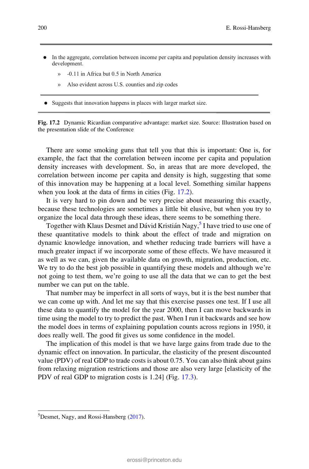- In the aggregate, correlation between income per capita and population density increases with development.
	- » -0.11 in Africa but 0.5 in North America
	- » Also evident across U.S. counties and zip codes
- Suggests that innovation happens in places with larger market size.

Fig. 17.2 Dynamic Ricardian comparative advantage: market size. Source: Illustration based on the presentation slide of the Conference

There are some smoking guns that tell you that this is important: One is, for example, the fact that the correlation between income per capita and population density increases with development. So, in areas that are more developed, the correlation between income per capita and density is high, suggesting that some of this innovation may be happening at a local level. Something similar happens when you look at the data of firms in cities (Fig. 17.2).

It is very hard to pin down and be very precise about measuring this exactly, because these technologies are sometimes a little bit elusive, but when you try to organize the local data through these ideas, there seems to be something there.

Together with Klaus Desmet and Dávid Kristián Nagy,<sup>5</sup> I have tried to use one of these quantitative models to think about the effect of trade and migration on dynamic knowledge innovation, and whether reducing trade barriers will have a much greater impact if we incorporate some of these effects. We have measured it as well as we can, given the available data on growth, migration, production, etc. We try to do the best job possible in quantifying these models and although we're not going to test them, we're going to use all the data that we can to get the best number we can put on the table.

That number may be imperfect in all sorts of ways, but it is the best number that we can come up with. And let me say that this exercise passes one test. If I use all these data to quantify the model for the year 2000, then I can move backwards in time using the model to try to predict the past. When I run it backwards and see how the model does in terms of explaining population counts across regions in 1950, it does really well. The good fit gives us some confidence in the model.

The implication of this model is that we have large gains from trade due to the dynamic effect on innovation. In particular, the elasticity of the present discounted value (PDV) of real GDP to trade costs is about 0.75. You can also think about gains from relaxing migration restrictions and those are also very large [elasticity of the PDV of real GDP to migration costs is 1.24] (Fig. 17.3).

<sup>&</sup>lt;sup>5</sup>Desmet, Nagy, and Rossi-Hansberg (2017).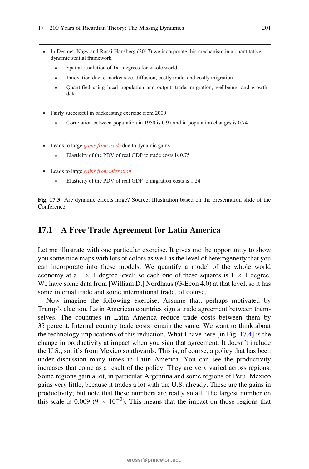- In Desmet, Nagy and Rossi-Hansberg (2017) we incorporate this mechanism in a quantitative dynamic spatial framework
	- » Spatial resolution of 1x1 degrees for whole world
	- » Innovation due to market size, diffusion, costly trade, and costly migration
	- » Quantified using local population and output, trade, migration, wellbeing, and growth data
- Fairly successful in backcasting exercise from 2000
	- » Correlation between population in 1950 is 0.97 and in population changes is 0.74
- Leads to large *gains from trade* due to dynamic gains
	- » Elasticity of the PDV of real GDP to trade costs is 0.75
- Leads to large *gains from migration*
	- » Elasticity of the PDV of real GDP to migration costs is 1.24

Fig. 17.3 Are dynamic effects large? Source: Illustration based on the presentation slide of the **Conference** 

#### 17.1 A Free Trade Agreement for Latin America

Let me illustrate with one particular exercise. It gives me the opportunity to show you some nice maps with lots of colors as well as the level of heterogeneity that you can incorporate into these models. We quantify a model of the whole world economy at a  $1 \times 1$  degree level; so each one of these squares is  $1 \times 1$  degree. We have some data from [William D.] Nordhaus (G-Econ 4.0) at that level, so it has some internal trade and some international trade, of course.

Now imagine the following exercise. Assume that, perhaps motivated by Trump's election, Latin American countries sign a trade agreement between themselves. The countries in Latin America reduce trade costs between them by 35 percent. Internal country trade costs remain the same. We want to think about the technology implications of this reduction. What I have here [in Fig. 17.4] is the change in productivity at impact when you sign that agreement. It doesn't include the U.S., so, it's from Mexico southwards. This is, of course, a policy that has been under discussion many times in Latin America. You can see the productivity increases that come as a result of the policy. They are very varied across regions. Some regions gain a lot, in particular Argentina and some regions of Peru. Mexico gains very little, because it trades a lot with the U.S. already. These are the gains in productivity; but note that these numbers are really small. The largest number on this scale is 0.009 ( $9 \times 10^{-3}$ ). This means that the impact on those regions that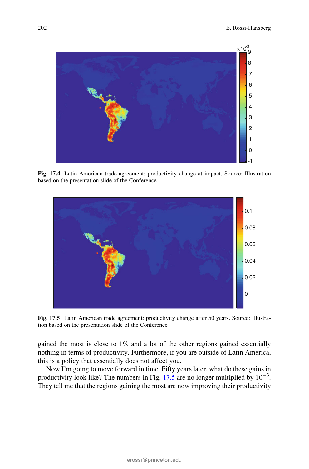

Fig. 17.4 Latin American trade agreement: productivity change at impact. Source: Illustration based on the presentation slide of the Conference



Fig. 17.5 Latin American trade agreement: productivity change after 50 years. Source: Illustration based on the presentation slide of the Conference

gained the most is close to 1% and a lot of the other regions gained essentially nothing in terms of productivity. Furthermore, if you are outside of Latin America, this is a policy that essentially does not affect you.

Now I'm going to move forward in time. Fifty years later, what do these gains in productivity look like? The numbers in Fig.  $17.5$  are no longer multiplied by  $10^{-3}$ . They tell me that the regions gaining the most are now improving their productivity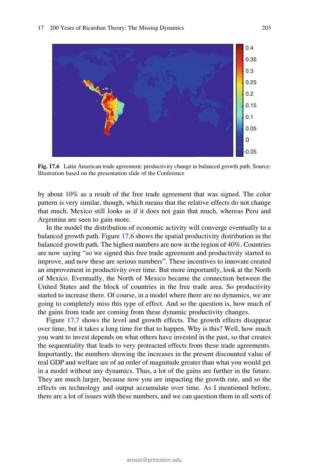

Fig. 17.6 Latin American trade agreement: productivity change in balanced growth path. Source: Illustration based on the presentation slide of the Conference

by about 10% as a result of the free trade agreement that was signed. The color pattern is very similar, though, which means that the relative effects do not change that much. Mexico still looks as if it does not gain that much, whereas Peru and Argentina are seen to gain more.

In the model the distribution of economic activity will converge eventually to a balanced growth path. Figure 17.6 shows the spatial productivity distribution in the balanced growth path. The highest numbers are now in the region of 40%. Countries are now saying "so we signed this free trade agreement and productivity started to improve, and now these are serious numbers". These incentives to innovate created an improvement in productivity over time. But more importantly, look at the North of Mexico. Eventually, the North of Mexico became the connection between the United States and the block of countries in the free trade area. So productivity started to increase there. Of course, in a model where there are no dynamics, we are going to completely miss this type of effect. And so the question is, how much of the gains from trade are coming from these dynamic productivity changes.

Figure 17.7 shows the level and growth effects. The growth effects disappear over time, but it takes a long time for that to happen. Why is this? Well, how much you want to invest depends on what others have invested in the past, so that creates the sequentiality that leads to very protracted effects from these trade agreements. Importantly, the numbers showing the increases in the present discounted value of real GDP and welfare are of an order of magnitude greater than what you would get in a model without any dynamics. Thus, a lot of the gains are further in the future. They are much larger, because now you are impacting the growth rate, and so the effects on technology and output accumulate over time. As I mentioned before, there are a lot of issues with these numbers, and we can question them in all sorts of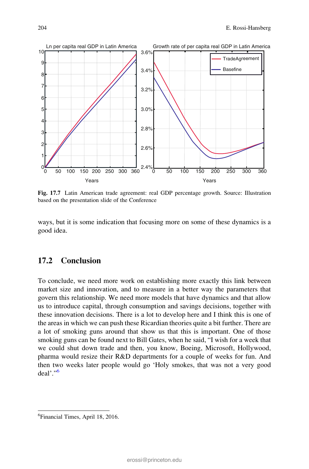

Fig. 17.7 Latin American trade agreement: real GDP percentage growth. Source: Illustration based on the presentation slide of the Conference

ways, but it is some indication that focusing more on some of these dynamics is a good idea.

## 17.2 Conclusion

6 Financial Times, April 18, 2016.

To conclude, we need more work on establishing more exactly this link between market size and innovation, and to measure in a better way the parameters that govern this relationship. We need more models that have dynamics and that allow us to introduce capital, through consumption and savings decisions, together with these innovation decisions. There is a lot to develop here and I think this is one of the areas in which we can push these Ricardian theories quite a bit further. There are a lot of smoking guns around that show us that this is important. One of those smoking guns can be found next to Bill Gates, when he said, "I wish for a week that we could shut down trade and then, you know, Boeing, Microsoft, Hollywood, pharma would resize their R&D departments for a couple of weeks for fun. And then two weeks later people would go 'Holy smokes, that was not a very good  $deal$ <sup>'.</sup><sup>6</sup>